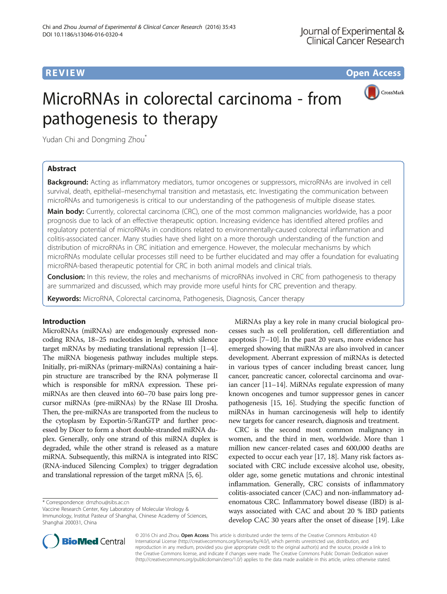**REVIEW CONSTRUCTION CONSTRUCTION CONSTRUCTS** 



# MicroRNAs in colorectal carcinoma - from pathogenesis to therapy

Yudan Chi and Dongming Zhou<sup>\*</sup>

# Abstract

Background: Acting as inflammatory mediators, tumor oncogenes or suppressors, microRNAs are involved in cell survival, death, epithelial–mesenchymal transition and metastasis, etc. Investigating the communication between microRNAs and tumorigenesis is critical to our understanding of the pathogenesis of multiple disease states.

Main body: Currently, colorectal carcinoma (CRC), one of the most common malignancies worldwide, has a poor prognosis due to lack of an effective therapeutic option. Increasing evidence has identified altered profiles and regulatory potential of microRNAs in conditions related to environmentally-caused colorectal inflammation and colitis-associated cancer. Many studies have shed light on a more thorough understanding of the function and distribution of microRNAs in CRC initiation and emergence. However, the molecular mechanisms by which microRNAs modulate cellular processes still need to be further elucidated and may offer a foundation for evaluating microRNA-based therapeutic potential for CRC in both animal models and clinical trials.

**Conclusion:** In this review, the roles and mechanisms of microRNAs involved in CRC from pathogenesis to therapy are summarized and discussed, which may provide more useful hints for CRC prevention and therapy.

Keywords: MicroRNA, Colorectal carcinoma, Pathogenesis, Diagnosis, Cancer therapy

# Introduction

MicroRNAs (miRNAs) are endogenously expressed noncoding RNAs, 18–25 nucleotides in length, which silence target mRNAs by mediating translational repression [\[1](#page-6-0)–[4](#page-6-0)]. The miRNA biogenesis pathway includes multiple steps. Initially, pri-miRNAs (primary-miRNAs) containing a hairpin structure are transcribed by the RNA polymerase II which is responsible for mRNA expression. These primiRNAs are then cleaved into 60–70 base pairs long precursor miRNAs (pre-miRNAs) by the RNase III Drosha. Then, the pre-miRNAs are transported from the nucleus to the cytoplasm by Exportin-5/RanGTP and further processed by Dicer to form a short double-stranded miRNA duplex. Generally, only one strand of this miRNA duplex is degraded, while the other strand is released as a mature miRNA. Subsequently, this miRNA is integrated into RISC (RNA-induced Silencing Complex) to trigger degradation and translational repression of the target mRNA [\[5, 6](#page-6-0)].

\* Correspondence: [dmzhou@sibs.ac.cn](mailto:dmzhou@sibs.ac.cn)

Vaccine Research Center, Key Laboratory of Molecular Virology & Immunology, Institut Pasteur of Shanghai, Chinese Academy of Sciences, Shanghai 200031, China

MiRNAs play a key role in many crucial biological processes such as cell proliferation, cell differentiation and apoptosis [[7](#page-6-0)–[10\]](#page-6-0). In the past 20 years, more evidence has emerged showing that miRNAs are also involved in cancer development. Aberrant expression of miRNAs is detected in various types of cancer including breast cancer, lung cancer, pancreatic cancer, colorectal carcinoma and ovarian cancer [[11](#page-6-0)–[14\]](#page-7-0). MiRNAs regulate expression of many known oncogenes and tumor suppressor genes in cancer pathogenesis [[15, 16](#page-7-0)]. Studying the specific function of miRNAs in human carcinogenesis will help to identify new targets for cancer research, diagnosis and treatment.

CRC is the second most common malignancy in women, and the third in men, worldwide. More than 1 million new cancer-related cases and 600,000 deaths are expected to occur each year [\[17, 18](#page-7-0)]. Many risk factors associated with CRC include excessive alcohol use, obesity, older age, some genetic mutations and chronic intestinal inflammation. Generally, CRC consists of inflammatory colitis-associated cancer (CAC) and non-inflammatory adenomatous CRC. Inflammatory bowel disease (IBD) is always associated with CAC and about 20 % IBD patients develop CAC 30 years after the onset of disease [[19](#page-7-0)]. Like



© 2016 Chi and Zhou. Open Access This article is distributed under the terms of the Creative Commons Attribution 4.0 International License [\(http://creativecommons.org/licenses/by/4.0/](http://creativecommons.org/licenses/by/4.0/)), which permits unrestricted use, distribution, and reproduction in any medium, provided you give appropriate credit to the original author(s) and the source, provide a link to the Creative Commons license, and indicate if changes were made. The Creative Commons Public Domain Dedication waiver [\(http://creativecommons.org/publicdomain/zero/1.0/](http://creativecommons.org/publicdomain/zero/1.0/)) applies to the data made available in this article, unless otherwise stated.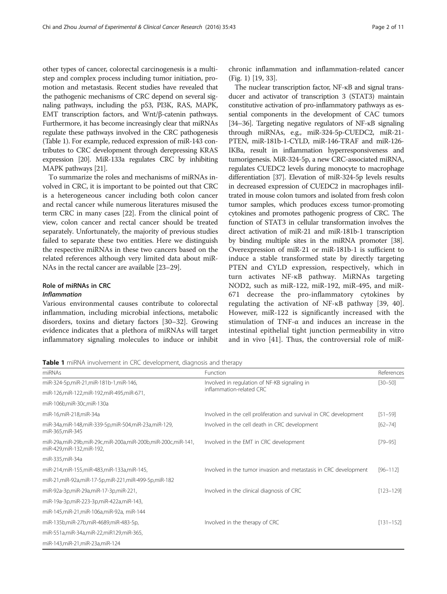other types of cancer, colorectal carcinogenesis is a multistep and complex process including tumor initiation, promotion and metastasis. Recent studies have revealed that the pathogenic mechanisms of CRC depend on several signaling pathways, including the p53, PI3K, RAS, MAPK, EMT transcription factors, and Wnt/β-catenin pathways. Furthermore, it has become increasingly clear that miRNAs regulate these pathways involved in the CRC pathogenesis (Table 1). For example, reduced expression of miR-143 contributes to CRC development through derepressing KRAS expression [\[20](#page-7-0)]. MiR-133a regulates CRC by inhibiting MAPK pathways [[21\]](#page-7-0).

To summarize the roles and mechanisms of miRNAs involved in CRC, it is important to be pointed out that CRC is a heterogeneous cancer including both colon cancer and rectal cancer while numerous literatures misused the term CRC in many cases [\[22\]](#page-7-0). From the clinical point of view, colon cancer and rectal cancer should be treated separately. Unfortunately, the majority of previous studies failed to separate these two entities. Here we distinguish the respective miRNAs in these two cancers based on the related references although very limited data about miR-NAs in the rectal cancer are available [\[23](#page-7-0)–[29](#page-7-0)].

# Role of miRNAs in CRC

#### Inflammation

Various environmental causes contribute to colorectal inflammation, including microbial infections, metabolic disorders, toxins and dietary factors [\[30](#page-7-0)–[32\]](#page-7-0). Growing evidence indicates that a plethora of miRNAs will target inflammatory signaling molecules to induce or inhibit chronic inflammation and inflammation-related cancer (Fig. [1](#page-2-0)) [[19](#page-7-0), [33](#page-7-0)].

The nuclear transcription factor, NF-κB and signal transducer and activator of transcription 3 (STAT3) maintain constitutive activation of pro-inflammatory pathways as essential components in the development of CAC tumors [[34](#page-7-0)–[36](#page-7-0)]. Targeting negative regulators of NF-κB signaling through miRNAs, e.g., miR-324-5p-CUEDC2, miR-21- PTEN, miR-181b-1-CYLD, miR-146-TRAF and miR-126- IKBa, result in inflammation hyperresponsiveness and tumorigenesis. MiR-324-5p, a new CRC-associated miRNA, regulates CUEDC2 levels during monocyte to macrophage differentiation [[37](#page-7-0)]. Elevation of miR-324-5p levels results in decreased expression of CUEDC2 in macrophages infiltrated in mouse colon tumors and isolated from fresh colon tumor samples, which produces excess tumor-promoting cytokines and promotes pathogenic progress of CRC. The function of STAT3 in cellular transformation involves the direct activation of miR-21 and miR-181b-1 transcription by binding multiple sites in the miRNA promoter [\[38](#page-7-0)]. Overexpression of miR-21 or miR-181b-1 is sufficient to induce a stable transformed state by directly targeting PTEN and CYLD expression, respectively, which in turn activates NF-κB pathway. MiRNAs targeting NOD2, such as miR-122, miR-192, miR-495, and miR-671 decrease the pro-inflammatory cytokines by regulating the activation of NF-κB pathway [[39, 40](#page-7-0)]. However, miR-122 is significantly increased with the stimulation of TNF-α and induces an increase in the intestinal epithelial tight junction permeability in vitro and in vivo [\[41\]](#page-7-0). Thus, the controversial role of miR-

Table 1 miRNA involvement in CRC development, diagnosis and therapy

| miRNAs                                                                                  | Function                                                                 | References    |
|-----------------------------------------------------------------------------------------|--------------------------------------------------------------------------|---------------|
| miR-324-5p,miR-21,miR-181b-1,miR-146,                                                   | Involved in regulation of NF-KB signaling in<br>inflammation-related CRC | $[30 - 50]$   |
| miR-126,miR-122,miR-192,miR-495,miR-671,                                                |                                                                          |               |
| miR-106b,miR-30c,miR-130a                                                               |                                                                          |               |
| miR-16,miR-218,miR-34a                                                                  | Involved in the cell proliferation and survival in CRC development       | $[51 - 59]$   |
| miR-34a,miR-148,miR-339-5p,miR-504,miR-23a,miR-129,<br>miR-365, miR-345                 | Involved in the cell death in CRC development                            | $[62 - 74]$   |
| miR-29a,miR-29b,miR-29c,miR-200a,miR-200b,miR-200c,miR-141,<br>miR-429,miR-132,miR-192, | Involved in the EMT in CRC development                                   | $[79 - 95]$   |
| miR-335, miR-34a                                                                        |                                                                          |               |
| miR-214,miR-155,miR-483,miR-133a,miR-145,                                               | Involved in the tumor invasion and metastasis in CRC development         | $[96 - 112]$  |
| miR-21, miR-92a, miR-17-5p, miR-221, miR-499-5p, miR-182                                |                                                                          |               |
| miR-92a-3p,miR-29a,miR-17-3p,miR-221,                                                   | Involved in the clinical diagnosis of CRC                                | $[123 - 129]$ |
| miR-19a-3p,miR-223-3p,miR-422a,miR-143,                                                 |                                                                          |               |
| miR-145, miR-21, miR-106a, miR-92a, miR-144                                             |                                                                          |               |
| miR-135b,miR-27b,miR-4689,miR-483-5p,                                                   | Involved in the therapy of CRC                                           | $[131 - 152]$ |
| miR-551a,miR-34a,miR-22,miR129,miR-365,                                                 |                                                                          |               |
| miR-143,miR-21,miR-23a,miR-124                                                          |                                                                          |               |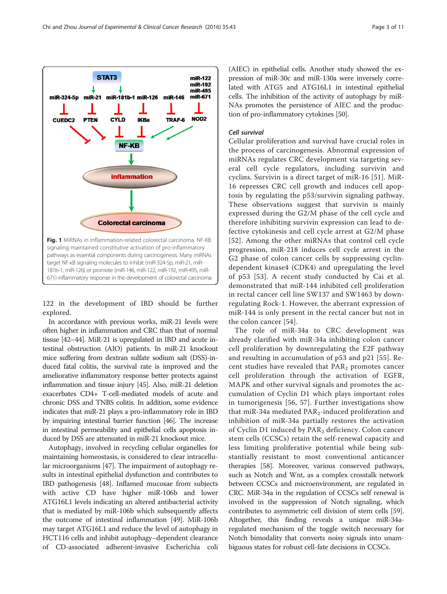122 in the development of IBD should be further explored.

In accordance with previous works, miR-21 levels were often higher in inflammation and CRC than that of normal tissue [[42](#page-7-0)–[44](#page-7-0)]. MiR-21 is upregulated in IBD and acute intestinal obstruction (AIO) patients. In miR-21 knockout mice suffering from dextran sulfate sodium salt (DSS)-induced fatal colitis, the survival rate is improved and the ameliorative inflammatory response better protects against inflammation and tissue injury [\[45\]](#page-7-0). Also, miR-21 deletion exacerbates CD4+ T-cell-mediated models of acute and chronic DSS and TNBS colitis. In addition, some evidence indicates that miR-21 plays a pro-inflammatory role in IBD by impairing intestinal barrier function [[46](#page-7-0)]. The increase in intestinal permeability and epithelial cells apoptosis induced by DSS are attenuated in miR-21 knockout mice.

Autophagy, involved in recycling cellular organelles for maintaining homeostasis, is considered to clear intracellular microorganisms [[47](#page-7-0)]. The impairment of autophagy results in intestinal epithelial dysfunction and contributes to IBD pathogenesis [[48\]](#page-7-0). Inflamed mucosae from subjects with active CD have higher miR-106b and lower ATG16L1 levels indicating an altered antibacterial activity that is mediated by miR-106b which subsequently affects the outcome of intestinal inflammation [[49](#page-7-0)]. MiR-106b may target ATG16L1 and reduce the level of autophagy in HCT116 cells and inhibit autophagy–dependent clearance of CD-associated adherent-invasive Escherichia coli

(AIEC) in epithelial cells. Another study showed the expression of miR-30c and miR-130a were inversely correlated with ATG5 and ATG16L1 in intestinal epithelial cells. The inhibition of the activity of autophagy by miR-NAs promotes the persistence of AIEC and the production of pro-inflammatory cytokines [\[50](#page-7-0)].

#### Cell survival

miR-122 miR-192 miR-495

miR-671

NOD<sub>2</sub>

miR-146

TRAF-6

Cellular proliferation and survival have crucial roles in the process of carcinogenesis. Abnormal expression of miRNAs regulates CRC development via targeting several cell cycle regulators, including survivin and cyclins. Survivin is a direct target of miR-16 [[51](#page-7-0)]. MiR-16 represses CRC cell growth and induces cell apoptosis by regulating the p53/survivin signaling pathway. These observations suggest that survivin is mainly expressed during the G2/M phase of the cell cycle and therefore inhibiting survivin expression can lead to defective cytokinesis and cell cycle arrest at G2/M phase [[52](#page-7-0)]. Among the other miRNAs that control cell cycle progression, miR-218 induces cell cycle arrest in the G2 phase of colon cancer cells by suppressing cyclindependent kinase4 (CDK4) and upregulating the level of p53 [[53\]](#page-7-0). A recent study conducted by Cai et al. demonstrated that miR-144 inhibited cell proliferation in rectal cancer cell line SW137 and SW1463 by downregulating Rock-1. However, the aberrant expression of miR-144 is only present in the rectal cancer but not in the colon cancer [[54](#page-7-0)].

The role of miR-34a to CRC development was already clarified with miR-34a inhibiting colon cancer cell proliferation by downregulating the E2F pathway and resulting in accumulation of p53 and p21 [\[55\]](#page-7-0). Recent studies have revealed that  $PAR<sub>2</sub>$  promotes cancer cell proliferation through the activation of EGFR, MAPK and other survival signals and promotes the accumulation of Cyclin D1 which plays important roles in tumorigenesis [\[56, 57\]](#page-7-0). Further investigations show that miR-34a mediated  $PAR<sub>2</sub>$ -induced proliferation and inhibition of miR-34a partially restores the activation of Cyclin D1 induced by PAR<sub>2</sub> deficiency. Colon cancer stem cells (CCSCs) retain the self-renewal capacity and less limiting proliferative potential while being substantially resistant to most conventional anticancer therapies [\[58\]](#page-7-0). Moreover, various conserved pathways, such as Notch and Wnt, as a complex crosstalk network between CCSCs and microenvironment, are regulated in CRC. MiR-34a in the regulation of CCSCs self renewal is involved in the suppression of Notch signaling, which contributes to asymmetric cell division of stem cells [[59](#page-8-0)]. Altogether, this finding reveals a unique miR-34aregulated mechanism of the toggle switch necessary for Notch bimodality that converts noisy signals into unambiguous states for robust cell-fate decisions in CCSCs.



**Colorectal carcinoma** 

**IKBa** 

STAT3

**PTEN** 

miR-21 miR-181b-1 miR-126

**CYLD** 

**NF-KB** 

**inflammation** 

<span id="page-2-0"></span>miR-324-5p

CUEDC2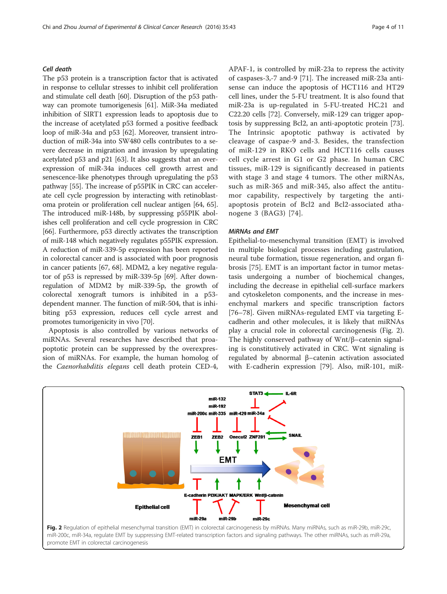## Cell death

The p53 protein is a transcription factor that is activated in response to cellular stresses to inhibit cell proliferation and stimulate cell death [\[60\]](#page-8-0). Disruption of the p53 pathway can promote tumorigenesis [[61\]](#page-8-0). MiR-34a mediated inhibition of SIRT1 expression leads to apoptosis due to the increase of acetylated p53 formed a positive feedback loop of miR-34a and p53 [\[62\]](#page-8-0). Moreover, transient introduction of miR-34a into SW480 cells contributes to a severe decrease in migration and invasion by upregulating acetylated p53 and p21 [\[63\]](#page-8-0). It also suggests that an overexpression of miR-34a induces cell growth arrest and senescence-like phenotypes through upregulating the p53 pathway [[55](#page-7-0)]. The increase of p55PIK in CRC can accelerate cell cycle progression by interacting with retinoblastoma protein or proliferation cell nuclear antigen [[64](#page-8-0), [65](#page-8-0)]. The introduced miR-148b, by suppressing p55PIK abolishes cell proliferation and cell cycle progression in CRC [[66](#page-8-0)]. Furthermore, p53 directly activates the transcription of miR-148 which negatively regulates p55PIK expression. A reduction of miR-339-5p expression has been reported in colorectal cancer and is associated with poor prognosis in cancer patients [[67](#page-8-0), [68](#page-8-0)]. MDM2, a key negative regulator of p53 is repressed by miR-339-5p [[69](#page-8-0)]. After downregulation of MDM2 by miR-339-5p, the growth of colorectal xenograft tumors is inhibited in a p53 dependent manner. The function of miR-504, that is inhibiting p53 expression, reduces cell cycle arrest and promotes tumorigenicity in vivo [[70](#page-8-0)].

Apoptosis is also controlled by various networks of miRNAs. Several researches have described that proapoptotic protein can be suppressed by the overexpression of miRNAs. For example, the human homolog of the Caenorhabditis elegans cell death protein CED-4,

APAF-1, is controlled by miR-23a to repress the activity of caspases-3,-7 and-9 [[71](#page-8-0)]. The increased miR-23a antisense can induce the apoptosis of HCT116 and HT29 cell lines, under the 5-FU treatment. It is also found that miR-23a is up-regulated in 5-FU-treated HC.21 and C22.20 cells [[72](#page-8-0)]. Conversely, miR-129 can trigger apoptosis by suppressing Bcl2, an anti-apoptotic protein [\[73](#page-8-0)]. The Intrinsic apoptotic pathway is activated by cleavage of caspae-9 and-3. Besides, the transfection of miR-129 in RKO cells and HCT116 cells causes cell cycle arrest in G1 or G2 phase. In human CRC tissues, miR-129 is significantly decreased in patients with stage 3 and stage 4 tumors. The other miRNAs, such as miR-365 and miR-345, also affect the antitumor capability, respectively by targeting the antiapoptosis protein of Bcl2 and Bcl2-associated athanogene 3 (BAG3) [[74](#page-8-0)].

#### MiRNAs and EMT

Epithelial-to-mesenchymal transition (EMT) is involved in multiple biological processes including gastrulation, neural tube formation, tissue regeneration, and organ fibrosis [\[75\]](#page-8-0). EMT is an important factor in tumor metastasis undergoing a number of biochemical changes, including the decrease in epithelial cell-surface markers and cytoskeleton components, and the increase in mesenchymal markers and specific transcription factors [[76](#page-8-0)–[78](#page-8-0)]. Given miRNAs-regulated EMT via targeting Ecadherin and other molecules, it is likely that miRNAs play a crucial role in colorectal carcinogenesis (Fig. 2). The highly conserved pathway of Wnt/β–catenin signaling is constitutively activated in CRC. Wnt signaling is regulated by abnormal β–catenin activation associated with E-cadherin expression [[79](#page-8-0)]. Also, miR-101, miR-



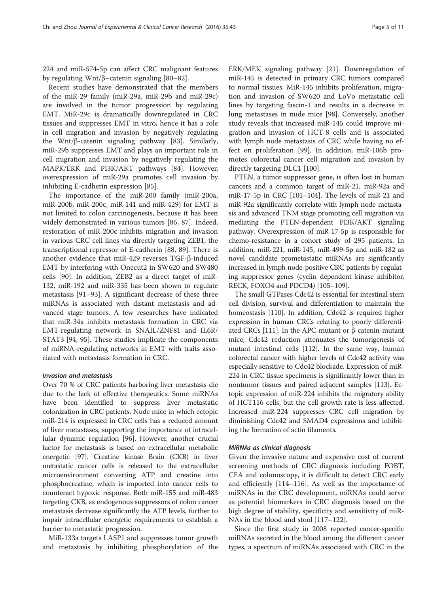224 and miR-574-5p can affect CRC malignant features by regulating Wnt/β–catenin signaling [\[80](#page-8-0)–[82\]](#page-8-0).

Recent studies have demonstrated that the members of the miR-29 family (miR-29a, miR-29b and miR-29c) are involved in the tumor progression by regulating EMT. MiR-29c is dramatically downregulated in CRC tissues and suppresses EMT in vitro, hence it has a role in cell migration and invasion by negatively regulating the Wnt/β-catenin signaling pathway [[83](#page-8-0)]. Similarly, miR-29b suppresses EMT and plays an important role in cell migration and invasion by negatively regulating the MAPK/ERK and PI3K/AKT pathways [\[84](#page-8-0)]. However, overexpression of miR-29a promotes cell invasion by inhibiting E-cadherin expression [[85\]](#page-8-0).

The importance of the miR-200 family (miR-200a, miR-200b, miR-200c, miR-141 and miR-429) for EMT is not limited to colon carcinogenesis, because it has been widely demonstrated in various tumors [\[86](#page-8-0), [87\]](#page-8-0). Indeed, restoration of miR-200c inhibits migration and invasion in various CRC cell lines via directly targeting ZEB1, the transcriptional repressor of E-cadherin [[88, 89\]](#page-8-0). There is another evidence that miR-429 reverses TGF-β-induced EMT by interfering with Onecut2 in SW620 and SW480 cells [[90\]](#page-8-0). In addition, ZEB2 as a direct target of miR-132, miR-192 and miR-335 has been shown to regulate metastasis [\[91](#page-8-0)–[93\]](#page-8-0). A significant decrease of these three miRNAs is associated with distant metastasis and advanced stage tumors. A few researches have indicated that miR-34a inhibits metastasis formation in CRC via EMT-regulating network in SNAIL/ZNF81 and IL6R/ STAT3 [[94](#page-8-0), [95\]](#page-8-0). These studies implicate the components of miRNA-regulating networks in EMT with traits associated with metastasis formation in CRC.

#### Invasion and metastasis

Over 70 % of CRC patients harboring liver metastasis die due to the lack of effective therapeutics. Some miRNAs have been identified to suppress liver metastatic colonization in CRC patients. Nude mice in which ectopic miR-214 is expressed in CRC cells has a reduced amount of liver metastases, supporting the importance of intracellular dynamic regulation [[96](#page-8-0)]. However, another crucial factor for metastasis is based on extracellular metabolic energetic [\[97\]](#page-8-0). Creatine kinase Brain (CKB) in liver metastatic cancer cells is released to the extracellular microenvironment converting ATP and creatine into phosphocreatine, which is imported into cancer cells to counteract hypoxic response. Both miR-155 and miR-483 targeting CKB, as endogenous suppressors of colon cancer metastasis decrease significantly the ATP levels, further to impair intracellular energetic requirements to establish a barrier to metastatic progression.

MiR-133a targets LASP1 and suppresses tumor growth and metastasis by inhibiting phosphorylation of the ERK/MEK signaling pathway [[21\]](#page-7-0). Downregulation of miR-145 is detected in primary CRC tumors compared to normal tissues. MiR-145 inhibits proliferation, migration and invasion of SW620 and LoVo metastatic cell lines by targeting fascin-1 and results in a decrease in lung metastases in nude mice [\[98\]](#page-8-0). Conversely, another study reveals that increased miR-145 could improve migration and invasion of HCT-8 cells and is associated with lymph node metastasis of CRC while having no effect on proliferation [\[99\]](#page-8-0). In addition, miR-106b promotes colorectal cancer cell migration and invasion by directly targeting DLC1 [[100](#page-8-0)].

PTEN, a tumor suppressor gene, is often lost in human cancers and a common target of miR-21, miR-92a and miR-17-5p in CRC [\[101](#page-8-0)–[104](#page-8-0)]. The levels of miR-21 and miR-92a significantly correlate with lymph node metastasis and advanced TNM stage promoting cell migration via mediating the PTEN-dependent PI3K/AKT signaling pathway. Overexpression of miR-17-5p is responsible for chemo-resistance in a cohort study of 295 patients. In addition, miR-221, miR-145, miR-499-5p and miR-182 as novel candidate prometastatic miRNAs are significantly increased in lymph node-positive CRC patients by regulating suppressor genes (cyclin dependent kinase inhibitor, RECK, FOXO4 and PDCD4) [[105](#page-8-0)–[109](#page-9-0)].

The small GTPases Cdc42 is essential for intestinal stem cell division, survival and differentiation to maintain the homeostasis [[110](#page-9-0)]. In addition, Cdc42 is required higher expression in human CRCs relating to poorly differenti-ated CRCs [\[111\]](#page-9-0). In the APC-mutant or β-catenin-mutant mice, Cdc42 reduction attenuates the tumorigenesis of mutant intestinal cells [\[112\]](#page-9-0). In the same way, human colorectal cancer with higher levels of Cdc42 activity was especially sensitive to Cdc42 blockade. Expression of miR-224 in CRC tissue specimens is significantly lower than in nontumor tissues and paired adjacent samples [\[113](#page-9-0)]. Ectopic expression of miR-224 inhibits the migratory ability of HCT116 cells, but the cell growth rate is less affected. Increased miR-224 suppresses CRC cell migration by diminishing Cdc42 and SMAD4 expressions and inhibiting the formation of actin filaments.

#### MiRNAs as clinical diagnosis

Given the invasive nature and expensive cost of current screening methods of CRC diagnosis including FOBT, CEA and colonoscopy, it is difficult to detect CRC early and efficiently [[114](#page-9-0)–[116\]](#page-9-0). As well as the importance of miRNAs in the CRC development, miRNAs could serve as potential biomarkers in CRC diagnosis based on the high degree of stability, specificity and sensitivity of miR-NAs in the blood and stool [[117](#page-9-0)–[122\]](#page-9-0).

Since the first study in 2008 reported cancer-specific miRNAs secreted in the blood among the different cancer types, a spectrum of miRNAs associated with CRC in the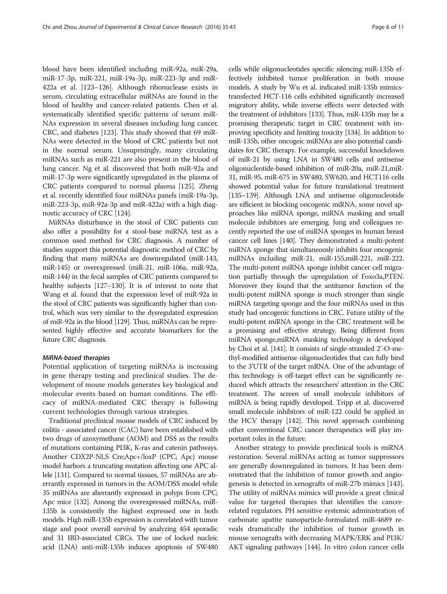blood have been identified including miR-92a, miR-29a, miR-17-3p, miR-221, miR-19a-3p, miR-223-3p and miR-422a et al. [\[123](#page-9-0)–[126\]](#page-9-0). Although ribonuclease exists in serum, circulating extracellular miRNAs are found in the blood of healthy and cancer-related patients. Chen et al. systematically identified specific patterns of serum miR-NAs expression in several diseases including lung cancer, CRC, and diabetes [[123](#page-9-0)]. This study showed that 69 miR-NAs were detected in the blood of CRC patients but not in the normal serum. Unsuprisingly, many circulating miRNAs such as miR-221 are also present in the blood of lung cancer. Ng et al. discovered that both miR-92a and miR-17-3p were significantly upregulated in the plasma of CRC patients compared to normal plasma [\[125](#page-9-0)]. Zheng et al. recently identified four miRNAs panels (miR-19a-3p, miR-223-3p, miR-92a-3p and miR-422a) with a high diagnostic accuracy of CRC [[124](#page-9-0)].

MiRNAs disturbance in the stool of CRC patients can also offer a possibility for a stool-base miRNA test as a common used method for CRC diagnosis. A number of studies support this potential diagnostic method of CRC by finding that many miRNAs are downregulated (miR-143, miR-145) or overexpressed (miR-21, miR-106a, miR-92a, miR-144) in the fecal samples of CRC patients compared to healthy subjects [[127](#page-9-0)–[130\]](#page-9-0). It is of interest to note that Wang et al. found that the expression level of miR-92a in the stool of CRC patients was significantly higher than control, which was very similar to the dysregulated expression of miR-92a in the blood [\[129\]](#page-9-0). Thus, miRNAs can be represented highly effective and accurate biomarkers for the future CRC diagnosis.

#### MiRNA-based therapies

Potential application of targeting miRNAs is increasing in gene therapy testing and preclinical studies. The development of mouse models generates key biological and molecular events based on human conditions. The efficacy of miRNA-mediated CRC therapy is following current technologies through various strategies.

Traditional preclinical mouse models of CRC induced by colitis - associated cancer (CAC) have been established with two drugs of azoxymethane (AOM) and DSS as the results of mutations containing PI3K, K-ras and catenin pathways. Another CDX2P-NLS Cre;Apc+/loxP (CPC; Apc) mouse model harbors a truncating mutation affecting one APC allele [[131\]](#page-9-0). Compared to normal tissues, 57 miRNAs are aberrantly expressed in tumors in the AOM/DSS model while 35 miRNAs are aberrantly expressed in polyps from CPC; Apc mice [\[132\]](#page-9-0). Among the overexpressed miRNAs, miR-135b is consistently the highest expressed one in both models. High miR-135b expression is correlated with tumor stage and poor overall survival by analyzing 454 sporadic and 31 IBD-associated CRCs. The use of locked nucleic acid (LNA) anti-miR-135b induces apoptosis of SW480

cells while oligonucleotides specific silencing miR-135b effectively inhibited tumor proliferation in both mouse models. A study by Wu et al. indicated miR-135b mimicstransfected HCT-116 cells exhibited significantly increased migratory ability, while inverse effects were detected with the treatment of inhibitors [[133\]](#page-9-0). Thus, miR-135b may be a promising therapeutic target in CRC treatment with improving specificity and limiting toxicity [[134\]](#page-9-0). In addition to miR-135b, other oncogeic miRNAs are also potential candidates for CRC therapy. For example, successful knockdown of miR-21 by using LNA in SW480 cells and antisense oligonucleotide-based inhibition of miR-20a, miR-21,miR-31, miR-95, miR-675 in SW480, SW620, and HCT116 cells showed potential value for future translational treatment [[135](#page-9-0)–[139\]](#page-9-0). Although LNA and antisense oligonucleotide are efficient in blocking oncogenic miRNA, some novel approaches like miRNA sponge, miRNA masking and small molecule inhibitors are emerging. Jung and colleagues recently reported the use of miRNA sponges in human breast cancer cell lines [\[140](#page-9-0)]. They demonstrated a multi-potent miRNA sponge that simultaneously inhibits four oncogenic miRNAs including miR-21, miR-155,miR-221, miR-222. The multi-potent miRNA sponge inhibit cancer cell migration partially through the upregulation of Foxo3a,PTEN. Moreover they found that the antitumor function of the multi-potent miRNA sponge is much stronger than single miRNA targeting sponge and the four miRNAs used in this study had oncogenic functions in CRC. Future utility of the multi-potent miRNA sponge in the CRC treatment will be a promising and effective strategy. Being different from miRNA sponge,miRNA masking technology is developed by Choi et al. [\[141\]](#page-9-0). It consists of single-stranded 2'-O-methyl-modified antisense oligonucleotides that can fully bind to the 3'UTR of the target mRNA. One of the advantage of this technology is off-target effect can be significantly reduced which attracts the researchers' attention in the CRC treatment. The screen of small molecule inhibitors of miRNA is being rapidly developed. Tripp et al. discovered small molecule inhibitors of miR-122 could be applied in the HCV therapy [\[142](#page-9-0)]. This novel approach combining other conventional CRC cancer therapeutics will play important roles in the future.

Another strategy to provide preclinical tools is miRNA restoration. Several miRNAs acting as tumor suppressors are generally downregulated in tumors. It has been demonstrated that the inhibition of tumor growth and angiogenesis is detected in xenografts of miR-27b mimics [[143](#page-9-0)]. The utility of miRNAs mimics will provide a great clinical value for targeted therapies that identifies the cancerrelated regulators. PH sensitive systemic administration of carbonate apatite nanoparticle-formulated miR-4689 reveals dramatically the inhibition of tumor growth in mouse xenografts with decreasing MAPK/ERK and PI3K/ AKT signaling pathways [\[144\]](#page-9-0). In vitro colon cancer cells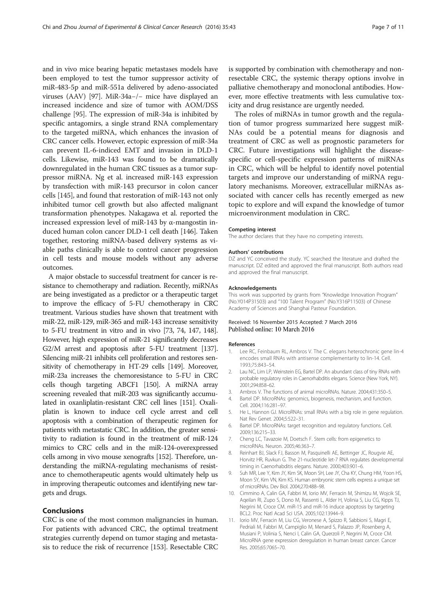<span id="page-6-0"></span>and in vivo mice bearing hepatic metastases models have been employed to test the tumor suppressor activity of miR-483-5p and miR-551a delivered by adeno-associated viruses (AAV) [[97](#page-8-0)]. MiR-34a−/− mice have displayed an increased incidence and size of tumor with AOM/DSS challenge [[95](#page-8-0)]. The expression of miR-34a is inhibited by specific antagomirs, a single strand RNA complementary to the targeted miRNA, which enhances the invasion of CRC cancer cells. However, ectopic expression of miR-34a can prevent IL-6-indiced EMT and invasion in DLD-1 cells. Likewise, miR-143 was found to be dramatically downregulated in the human CRC tissues as a tumor suppressor miRNA. Ng et al. increased miR-143 expression by transfection with miR-143 precursor in colon cancer cells [[145](#page-9-0)], and found that restoration of miR-143 not only inhibited tumor cell growth but also affected malignant transformation phenotypes. Nakagawa et al. reported the increased expression level of miR-143 by α-mangostin induced human colon cancer DLD-1 cell death [[146](#page-9-0)]. Taken together, restoring miRNA-based delivery systems as viable paths clinically is able to control cancer progression in cell tests and mouse models without any adverse outcomes.

A major obstacle to successful treatment for cancer is resistance to chemotherapy and radiation. Recently, miRNAs are being investigated as a predictor or a therapeutic target to improve the efficacy of 5-FU chemotherapy in CRC treatment. Various studies have shown that treatment with miR-22, miR-129, miR-365 and miR-143 increase sensitivity to 5-FU treatment in vitro and in vivo [[73](#page-8-0), [74](#page-8-0), [147](#page-9-0), [148](#page-9-0)]. However, high expression of miR-21 significantly decreases G2/M arrest and apoptosis after 5-FU treatment [\[137](#page-9-0)]. Silencing miR-21 inhibits cell proliferation and restores sensitivity of chemotherapy in HT-29 cells [[149\]](#page-9-0). Moreover, miR-23a increases the chemoresistance to 5-FU in CRC cells though targeting ABCF1 [\[150\]](#page-9-0). A miRNA array screening revealed that miR-203 was significantly accumulated in oxanliplatin-resistant CRC cell lines [[151\]](#page-10-0). Oxaliplatin is known to induce cell cycle arrest and cell apoptosis with a combination of therapeutic regimen for patients with metastatic CRC. In addition, the greater sensitivity to radiation is found in the treatment of miR-124 mimics to CRC cells and in the miR-124-overexpressed cells among in vivo mouse xenografts [\[152](#page-10-0)]. Therefore, understanding the miRNA-regulating mechanisms of resistance to chemotherapeutic agents would ultimately help us in improving therapeutic outcomes and identifying new targets and drugs.

### Conclusions

CRC is one of the most common malignancies in human. For patients with advanced CRC, the optimal treatment strategies currently depend on tumor staging and metastasis to reduce the risk of recurrence [[153](#page-10-0)]. Resectable CRC is supported by combination with chemotherapy and nonresectable CRC, the systemic therapy options involve in palliative chemotherapy and monoclonal antibodies. However, more effective treatments with less cumulative toxicity and drug resistance are urgently needed.

The roles of miRNAs in tumor growth and the regulation of tumor progress summarized here suggest miR-NAs could be a potential means for diagnosis and treatment of CRC as well as prognostic parameters for CRC. Future investigations will highlight the diseasespecific or cell-specific expression patterns of miRNAs in CRC, which will be helpful to identify novel potential targets and improve our understanding of miRNA regulatory mechanisms. Moreover, extracellular miRNAs associated with cancer cells has recently emerged as new topic to explore and will expand the knowledge of tumor microenvironment modulation in CRC.

#### Competing interest

The author declares that they have no competing interests.

#### Authors' contributions

DZ and YC conceived the study. YC searched the literature and drafted the manuscript. DZ edited and approved the final manuscript. Both authors read and approved the final manuscript.

#### Acknowledgements

This work was supported by grants from "Knowledge Innovation Program" (No.Y014P31503) and "100 Talent Program" (No.Y316P11503) of Chinese Academy of Sciences and Shanghai Pasteur Foundation.

#### Received: 16 November 2015 Accepted: 7 March 2016 Published online: 10 March 2016

#### References

- 1. Lee RC, Feinbaum RL, Ambros V. The C. elegans heterochronic gene lin-4 encodes small RNAs with antisense complementarity to lin-14. Cell. 1993;75:843–54.
- 2. Lau NC, Lim LP, Weinstein EG, Bartel DP. An abundant class of tiny RNAs with probable regulatory roles in Caenorhabditis elegans. Science (New York, NY). 2001;294:858–62.
- 3. Ambros V. The functions of animal microRNAs. Nature. 2004;431:350–5.
- 4. Bartel DP. MicroRNAs: genomics, biogenesis, mechanism, and function. Cell. 2004;116:281–97.
- 5. He L, Hannon GJ. MicroRNAs: small RNAs with a big role in gene regulation. Nat Rev Genet. 2004;5:522–31.
- 6. Bartel DP. MicroRNAs: target recognition and regulatory functions. Cell. 2009;136:215–33.
- 7. Cheng LC, Tavazoie M, Doetsch F. Stem cells: from epigenetics to microRNAs. Neuron. 2005;46:363–7.
- 8. Reinhart BJ, Slack FJ, Basson M, Pasquinelli AE, Bettinger JC, Rougvie AE, Horvitz HR, Ruvkun G. The 21-nucleotide let-7 RNA regulates developmental timing in Caenorhabditis elegans. Nature. 2000;403:901–6.
- 9. Suh MR, Lee Y, Kim JY, Kim SK, Moon SH, Lee JY, Cha KY, Chung HM, Yoon HS, Moon SY, Kim VN, Kim KS. Human embryonic stem cells express a unique set of microRNAs. Dev Biol. 2004;270:488–98.
- 10. Cimmino A, Calin GA, Fabbri M, Iorio MV, Ferracin M, Shimizu M, Wojcik SE, Aqeilan RI, Zupo S, Dono M, Rassenti L, Alder H, Volinia S, Liu CG, Kipps TJ, Negrini M, Croce CM. miR-15 and miR-16 induce apoptosis by targeting BCL2. Proc Natl Acad Sci USA. 2005;102:13944–9.
- 11. Iorio MV, Ferracin M, Liu CG, Veronese A, Spizzo R, Sabbioni S, Magri E, Pedriali M, Fabbri M, Campiglio M, Menard S, Palazzo JP, Rosenberg A, Musiani P, Volinia S, Nenci I, Calin GA, Querzoli P, Negrini M, Croce CM. MicroRNA gene expression deregulation in human breast cancer. Cancer Res. 2005;65:7065–70.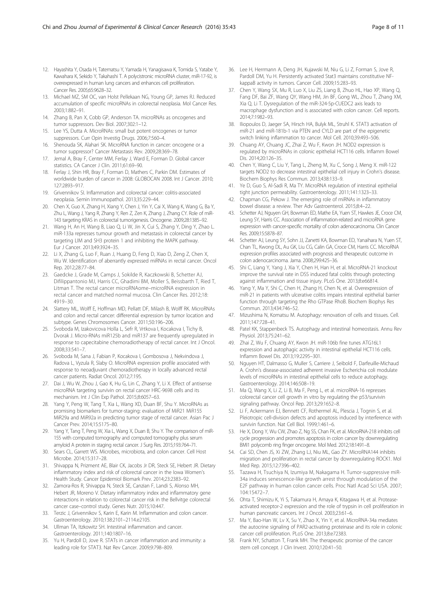- <span id="page-7-0"></span>12. Hayashita Y, Osada H, Tatematsu Y, Yamada H, Yanagisawa K, Tomida S, Yatabe Y, Kawahara K, Sekido Y, Takahashi T. A polycistronic microRNA cluster, miR-17-92, is overexpressed in human lung cancers and enhances cell proliferation. Cancer Res. 2005;65:9628–32.
- 13. Michael MZ, SM OC, van Holst Pellekaan NG, Young GP, James RJ. Reduced accumulation of specific microRNAs in colorectal neoplasia. Mol Cancer Res. 2003;1:882–91.
- 14. Zhang B, Pan X, Cobb GP, Anderson TA. microRNAs as oncogenes and tumor suppressors. Dev Biol. 2007;302:1–12.
- 15. Lee YS, Dutta A. MicroRNAs: small but potent oncogenes or tumor suppressors. Curr Opin Investig Drugs. 2006;7:560–4.
- 16. Shenouda SK, Alahari SK. MicroRNA function in cancer: oncogene or a tumor suppressor? Cancer Metastasis Rev. 2009;28:369–78.
- 17. Jemal A, Bray F, Center MM, Ferlay J, Ward E, Forman D. Global cancer statistics. CA Cancer J Clin. 2011;61:69–90.
- 18. Ferlay J, Shin HR, Bray F, Forman D, Mathers C, Parkin DM. Estimates of worldwide burden of cancer in 2008: GLOBOCAN 2008. Int J Cancer. 2010; 127:2893–917.
- 19. Grivennikov SI. Inflammation and colorectal cancer: colitis-associated neoplasia. Semin Immunopathol. 2013;35:229–44.
- 20. Chen X, Guo X, Zhang H, Xiang Y, Chen J, Yin Y, Cai X, Wang K, Wang G, Ba Y, Zhu L, Wang J, Yang R, Zhang Y, Ren Z, Zen K, Zhang J, Zhang CY. Role of miR-143 targeting KRAS in colorectal tumorigenesis. Oncogene. 2009;28:1385–92.
- 21. Wang H, An H, Wang B, Liao Q, Li W, Jin X, Cui S, Zhang Y, Ding Y, Zhao L. miR-133a represses tumour growth and metastasis in colorectal cancer by targeting LIM and SH3 protein 1 and inhibiting the MAPK pathway. Eur J Cancer. 2013;49:3924–35.
- 22. Li X, Zhang G, Luo F, Ruan J, Huang D, Feng D, Xiao D, Zeng Z, Chen X, Wu W. Identification of aberrantly expressed miRNAs in rectal cancer. Oncol Rep. 2012;28:77–84.
- 23. Gaedcke J, Grade M, Camps J, Sokilde R, Kaczkowski B, Schetter AJ, Difilippantonio MJ, Harris CC, Ghadimi BM, Moller S, Beissbarth T, Ried T, Litman T. The rectal cancer microRNAome–microRNA expression in rectal cancer and matched normal mucosa. Clin Cancer Res. 2012;18: 4919–30.
- 24. Slattery ML, Wolff E, Hoffman MD, Pellatt DF, Milash B, Wolff RK. MicroRNAs and colon and rectal cancer: differential expression by tumor location and subtype. Genes Chromosomes Cancer. 2011;50:196–206.
- 25. Svoboda M, Izakovicova Holla L, Sefr R, Vrtkova I, Kocakova I, Tichy B, Dvorak J. Micro-RNAs miR125b and miR137 are frequently upregulated in response to capecitabine chemoradiotherapy of rectal cancer. Int J Oncol. 2008;33:541–7.
- 26. Svoboda M, Sana J, Fabian P, Kocakova I, Gombosova J, Nekvindova J, Radova L, Vyzula R, Slaby O. MicroRNA expression profile associated with response to neoadjuvant chemoradiotherapy in locally advanced rectal cancer patients. Radiat Oncol. 2012;7:195.
- 27. Dai J, Wu W, Zhou J, Gao K, Hu G, Lin C, Zhang Y, Li X. Effect of antisense microRNA targeting survivin on rectal cancer HRC-9698 cells and its mechanism. Int J Clin Exp Pathol. 2015;8:6057–63.
- 28. Yang Y, Peng W, Tang T, Xia L, Wang XD, Duan BF, Shu Y. MicroRNAs as promising biomarkers for tumor-staging: evaluation of MiR21 MiR155 MiR29a and MiR92a in predicting tumor stage of rectal cancer. Asian Pac J Cancer Prev. 2014;15:5175–80.
- 29. Yang Y, Tang T, Peng W, Xia L, Wang X, Duan B, Shu Y. The comparison of miR-155 with computed tomography and computed tomography plus serum amyloid A protein in staging rectal cancer. J Surg Res. 2015;193:764–71.
- 30. Sears CL, Garrett WS. Microbes, microbiota, and colon cancer. Cell Host Microbe. 2014;15:317–28.
- 31. Shivappa N, Prizment AE, Blair CK, Jacobs Jr DR, Steck SE, Hebert JR. Dietary inflammatory index and risk of colorectal cancer in the Iowa Women's Health Study. Cancer Epidemiol Biomark Prev. 2014;23:2383–92.
- 32. Zamora-Ros R, Shivappa N, Steck SE, Canzian F, Landi S, Alonso MH, Hebert JR, Moreno V. Dietary inflammatory index and inflammatory gene interactions in relation to colorectal cancer risk in the Bellvitge colorectal cancer case–control study. Genes Nutr. 2015;10:447.
- 33. Terzic J, Grivennikov S, Karin E, Karin M. Inflammation and colon cancer. Gastroenterology. 2010;138:2101–2114.e2105.
- 34. Ullman TA, Itzkowitz SH. Intestinal inflammation and cancer. Gastroenterology. 2011;140:1807–16.
- 35. Yu H, Pardoll D, Jove R. STATs in cancer inflammation and immunity: a leading role for STAT3. Nat Rev Cancer. 2009;9:798–809.
- 36. Lee H, Herrmann A, Deng JH, Kujawski M, Niu G, Li Z, Forman S, Jove R, Pardoll DM, Yu H. Persistently activated Stat3 maintains constitutive NFkappaB activity in tumors. Cancer Cell. 2009;15:283–93.
- 37. Chen Y, Wang SX, Mu R, Luo X, Liu ZS, Liang B, Zhuo HL, Hao XP, Wang Q, Fang DF, Bai ZF, Wang QY, Wang HM, Jin BF, Gong WL, Zhou T, Zhang XM, Xia Q, Li T. Dysregulation of the miR-324-5p-CUEDC2 axis leads to macrophage dysfunction and is associated with colon cancer. Cell reports. 2014;7:1982–93.
- 38. Iliopoulos D, Jaeger SA, Hirsch HA, Bulyk ML, Struhl K. STAT3 activation of miR-21 and miR-181b-1 via PTEN and CYLD are part of the epigenetic switch linking inflammation to cancer. Mol Cell. 2010;39:493–506.
- 39. Chuang AY, Chuang JC, Zhai Z, Wu F, Kwon JH. NOD2 expression is regulated by microRNAs in colonic epithelial HCT116 cells. Inflamm Bowel Dis. 2014;20:126–35.
- 40. Chen Y, Wang C, Liu Y, Tang L, Zheng M, Xu C, Song J, Meng X. miR-122 targets NOD2 to decrease intestinal epithelial cell injury in Crohn's disease. Biochem Biophys Res Commun. 2013;438:133–9.
- 41. Ye D, Guo S, Al-Sadi R, Ma TY. MicroRNA regulation of intestinal epithelial tight junction permeability. Gastroenterology. 2011;141:1323–33.
- 42. Chapman CG, Pekow J. The emerging role of miRNAs in inflammatory bowel disease: a review. Ther Adv Gastroenterol. 2015;8:4–22.
- 43. Schetter AJ, Nguyen GH, Bowman ED, Mathe EA, Yuen ST, Hawkes JE, Croce CM, Leung SY, Harris CC. Association of inflammation-related and microRNA gene expression with cancer-specific mortality of colon adenocarcinoma. Clin Cancer Res. 2009;15:5878–87.
- 44. Schetter AJ, Leung SY, Sohn JJ, Zanetti KA, Bowman ED, Yanaihara N, Yuen ST, Chan TL, Kwong DL, Au GK, Liu CG, Calin GA, Croce CM, Harris CC. MicroRNA expression profiles associated with prognosis and therapeutic outcome in colon adenocarcinoma. Jama. 2008;299:425–36.
- 45. Shi C, Liang Y, Yang J, Xia Y, Chen H, Han H, et al. MicroRNA-21 knockout improve the survival rate in DSS induced fatal colitis through protecting against inflammation and tissue injury. PLoS One. 2013;8:e66814.
- 46. Yang Y, Ma Y, Shi C, Chen H, Zhang H, Chen N, et al. Overexpression of miR-21 in patients with ulcerative colitis impairs intestinal epithelial barrier function through targeting the Rho GTPase RhoB. Biochem Biophys Res Commun. 2013;434:746–52.
- 47. Mizushima N, Komatsu M. Autophagy: renovation of cells and tissues. Cell. 2011;147:728–41.
- 48. Patel KK, Stappenbeck TS. Autophagy and intestinal homeostasis. Annu Rev Physiol. 2013;75:241–62.
- 49. Zhai Z, Wu F, Chuang AY, Kwon JH. miR-106b fine tunes ATG16L1 expression and autophagic activity in intestinal epithelial HCT116 cells. Inflamm Bowel Dis. 2013;19:2295–301.
- 50. Nguyen HT, Dalmasso G, Muller S, Carriere J, Seibold F, Darfeuille-Michaud A. Crohn's disease-associated adherent invasive Escherichia coli modulate levels of microRNAs in intestinal epithelial cells to reduce autophagy. Gastroenterology. 2014;146:508–19.
- 51. Ma Q, Wang X, Li Z, Li B, Ma F, Peng L, et al. microRNA-16 represses colorectal cancer cell growth in vitro by regulating the p53/survivin signaling pathway. Oncol Rep. 2013;29:1652–8.
- 52. Li F, Ackermann EJ, Bennett CF, Rothermel AL, Plescia J, Tognin S, et al. Pleiotropic cell-division defects and apoptosis induced by interference with survivin function. Nat Cell Biol. 1999;1:461–6.
- 53. He X, Dong Y, Wu CW, Zhao Z, Ng SS, Chan FK, et al. MicroRNA-218 inhibits cell cycle progression and promotes apoptosis in colon cancer by downregulating BMI1 polycomb ring finger oncogene. Mol Med. 2012;18:1491–8.
- 54. Cai SD, Chen JS, Xi ZW, Zhang LJ, Niu ML, Gao ZY. MicroRNA144 inhibits migration and proliferation in rectal cancer by downregulating ROCK1. Mol Med Rep. 2015;12:7396–402.
- 55. Tazawa H, Tsuchiya N, Izumiya M, Nakagama H. Tumor-suppressive miR-34a induces senescence-like growth arrest through modulation of the E2F pathway in human colon cancer cells. Proc Natl Acad Sci USA. 2007; 104:15472–7.
- 56. Ohta T, Shimizu K, Yi S, Takamura H, Amaya K, Kitagawa H, et al. Proteaseactivated receptor-2 expression and the role of trypsin in cell proliferation in human pancreatic cancers. Int J Oncol. 2003;23:61–6.
- 57. Ma Y, Bao-Han W, Lv X, Su Y, Zhao X, Yin Y, et al. MicroRNA-34a mediates the autocrine signaling of PAR2-activating proteinase and its role in colonic cancer cell proliferation. PLoS One. 2013;8:e72383.
- 58. Frank NY, Schatton T, Frank MH. The therapeutic promise of the cancer stem cell concept. J Clin Invest. 2010;120:41–50.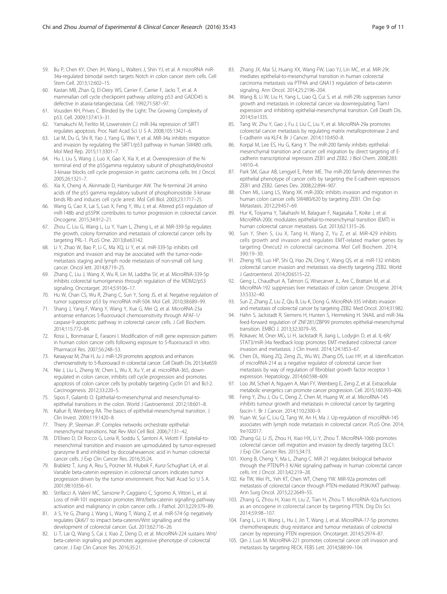- <span id="page-8-0"></span>60. Kastan MB, Zhan Q, El-Deiry WS, Carrier F, Carrier F, Jacks T, et al. A mammalian cell cycle checkpoint pathway utilizing p53 and GADD45 is defective in ataxia-telangiectasia. Cell. 1992;71:587–97.
- 61. Vousden KH, Prives C. Blinded by the Light: The Growing Complexity of p53. Cell. 2009;137:413–31.
- 62. Yamakuchi M, Ferlito M, Lowenstein CJ. miR-34a repression of SIRT1 regulates apoptosis. Proc Natl Acad Sci U S A. 2008;105:13421–6.
- 63. Lai M, Du G, Shi R, Yao J, Yang G, Wei Y, et al. MiR-34a inhibits migration and invasion by regulating the SIRT1/p53 pathway in human SW480 cells. Mol Med Rep. 2015;11:3301–7.
- 64. Hu J, Liu S, Wang J, Luo X, Gao X, Xia X, et al. Overexpression of the Nterminal end of the p55gamma regulatory subunit of phosphatidylinositol 3-kinase blocks cell cycle progression in gastric carcinoma cells. Int J Oncol. 2005;26:1321–7.
- 65. Xia X, Cheng A, Akinmade D, Hamburger AW. The N-terminal 24 amino acids of the p55 gamma regulatory subunit of phosphoinositide 3-kinase binds Rb and induces cell cycle arrest. Mol Cell Biol. 2003;23:1717–25.
- 66. Wang G, Cao X, Lai S, Luo X, Feng Y, Wu J, et al. Altered p53 regulation of miR-148b and p55PIK contributes to tumor progression in colorectal cancer. Oncogene. 2015;34:912–21.
- 67. Zhou C, Liu G, Wang L, Lu Y, Yuan L, Zheng L, et al. MiR-339-5p regulates the growth, colony formation and metastasis of colorectal cancer cells by targeting PRL-1. PLoS One. 2013;8:e63142.
- 68. Li Y, Zhao W, Bao P, Li C, Ma XQ, Li Y, et al. miR-339-5p inhibits cell migration and invasion and may be associated with the tumor-nodemetastasis staging and lymph node metastasis of non-small cell lung cancer. Oncol lett. 2014;8:719–25.
- 69. Zhang C, Liu J, Wang X, Wu R, Lin M, Laddha SV, et al. MicroRNA-339-5p inhibits colorectal tumorigenesis through regulation of the MDM2/p53 signaling. Oncotarget. 2014;5:9106–17.
- 70. Hu W, Chan CS, Wu R, Zhang C, Sun Y, Song JS, et al. Negative regulation of tumor suppressor p53 by microRNA miR-504. Mol Cell. 2010;38:689–99.
- 71. Shang J, Yang F, Wang Y, Wang Y, Xue G, Mei Q, et al. MicroRNA-23a antisense enhances 5-fluorouracil chemosensitivity through APAF-1/ caspase-9 apoptotic pathway in colorectal cancer cells. J Cell Biochem. 2014;115:772–84.
- 72. Rossi L, Bonmassar E, Faraoni I. Modification of miR gene expression pattern in human colon cancer cells following exposure to 5-fluorouracil in vitro. Pharmacol Res. 2007;56:248–53.
- 73. Karaayvaz M, Zhai H, Ju J. miR-129 promotes apoptosis and enhances chemosensitivity to 5-fluorouracil in colorectal cancer. Cell Death Dis. 2013;4:e659.
- 74. Nie J, Liu L, Zheng W, Chen L, Wu X, Xu Y, et al. microRNA-365, downregulated in colon cancer, inhibits cell cycle progression and promotes apoptosis of colon cancer cells by probably targeting Cyclin D1 and Bcl-2. Carcinogenesis. 2012;33:220–5.
- 75. Sipos F, Galamb O. Epithelial-to-mesenchymal and mesenchymal-toepithelial transitions in the colon. World J Gastroenterol. 2012;18:601–8.
- 76. Kalluri R, Weinberg RA. The basics of epithelial-mesenchymal transition. J Clin Invest. 2009;119:1420–8.
- 77. Thiery JP, Sleeman JP. Complex networks orchestrate epithelialmesenchymal transitions. Nat Rev Mol Cell Biol. 2006;7:131–42.
- 78. D'Eliseo D, Di Rocco G, Loria R, Soddu S, Santoni A, Velotti F. Epitelial-tomesenchimal transition and invasion are upmodulated by tumor-expressed granzyme B and inhibited by docosahexaenoic acid in human colorectal cancer cells. J Exp Clin Cancer Res. 2016;35:24.
- 79. Brabletz T, Jung A, Reu S, Porzner M, Hlubek F, Kunz-Schughart LA, et al. Variable beta-catenin expression in colorectal cancers indicates tumor progression driven by the tumor environment. Proc Natl Acad Sci U S A. 2001;98:10356–61.
- 80. Strillacci A, Valerii MC, Sansone P, Caggiano C, Sgromo A, Vittori L, et al. Loss of miR-101 expression promotes Wnt/beta-catenin signalling pathway activation and malignancy in colon cancer cells. J Pathol. 2013;229:379–89.
- 81. Ji S, Ye G, Zhang J, Wang L, Wang T, Wang Z, et al. miR-574-5p negatively regulates Qki6/7 to impact beta-catenin/Wnt signalling and the development of colorectal cancer. Gut. 2013;62:716–26.
- 82. Li T, Lai Q, Wang S, Cai J, Xiao Z, Deng D, et al. MicroRNA-224 sustains Wnt/ beta-catenin signaling and promotes aggressive phenotype of colorectal cancer. J Exp Clin Cancer Res. 2016;35:21.
- 83. Zhang JX, Mai SJ, Huang XX, Wang FW, Liao YJ, Lin MC, et al. MiR-29c mediates epithelial-to-mesenchymal transition in human colorectal carcinoma metastasis via PTP4A and GNA13 regulation of beta-catenin signaling. Ann Oncol. 2014;25:2196–204.
- 84. Wang B, Li W, Liu H, Yang L, Liao Q, Cui S, et al. miR-29b suppresses tumor growth and metastasis in colorectal cancer via downregulating Tiam1 expression and inhibiting epithelial-mesenchymal transition. Cell Death Dis. 2014;5:e1335.
- 85. Tang W, Zhu Y, Gao J, Fu J, Liu C, Liu Y, et al. MicroRNA-29a promotes colorectal cancer metastasis by regulating matrix metalloproteinase 2 and E-cadherin via KLF4. Br J Cancer. 2014;110:450–8.
- 86. Korpal M, Lee ES, Hu G, Kang Y. The miR-200 family inhibits epithelialmesenchymal transition and cancer cell migration by direct targeting of Ecadherin transcriptional repressors ZEB1 and ZEB2. J Biol Chem. 2008;283: 14910–4.
- 87. Park SM, Gaur AB, Lengyel E, Peter ME. The miR-200 family determines the epithelial phenotype of cancer cells by targeting the E-cadherin repressors ZEB1 and ZEB2. Genes Dev. 2008;22:894–907.
- 88. Chen ML, Liang LS, Wang XK. miR-200c inhibits invasion and migration in human colon cancer cells SW480/620 by targeting ZEB1. Clin Exp Metastasis. 2012;29:457–69.
- 89. Hur K, Toiyama Y, Takahashi M, Balaguer F, Nagasaka T, Koike J, et al. MicroRNA-200c modulates epithelial-to-mesenchymal transition (EMT) in human colorectal cancer metastasis. Gut. 2013;62:1315–26.
- Sun Y, Shen S, Liu X, Tang H, Wang Z, Yu Z, et al. MiR-429 inhibits cells growth and invasion and regulates EMT-related marker genes by targeting Onecut2 in colorectal carcinoma. Mol Cell Biochem. 2014; 390:19–30.
- 91. Zheng YB, Luo HP, Shi Q, Hao ZN, Ding Y, Wang QS, et al. miR-132 inhibits colorectal cancer invasion and metastasis via directly targeting ZEB2. World J Gastroenterol. 2014;20:6515–22.
- 92. Geng L, Chaudhuri A, Talmon G, Wisecarver JL, Are C, Brattain M, et al. MicroRNA-192 suppresses liver metastasis of colon cancer. Oncogene. 2014; 33:5332–40.
- 93. Sun Z, Zhang Z, Liu Z, Qiu B, Liu K, Dong G. MicroRNA-335 inhibits invasion and metastasis of colorectal cancer by targeting ZEB2. Med Oncol. 2014;31:982.
- 94. Hahn S, Jackstadt R, Siemens H, Hunten S, Hermeking H. SNAIL and miR-34a feed-forward regulation of ZNF281/ZBP99 promotes epithelial-mesenchymal transition. EMBO J. 2013;32:3079–95.
- 95. Rokavec M, Oner MG, Li H, Jackstadt R, Jiang L, Lodygin D, et al. IL-6R/ STAT3/miR-34a feedback loop promotes EMT-mediated colorectal cancer invasion and metastasis. J Clin Invest. 2014;124:1853–67.
- 96. Chen DL, Wang ZQ, Zeng ZL, Wu WJ, Zhang DS, Luo HY, et al. Identification of microRNA-214 as a negative regulator of colorectal cancer liver metastasis by way of regulation of fibroblast growth factor receptor 1 expression. Hepatology. 2014;60:598–609.
- 97. Loo JM, Scherl A, Nguyen A, Man FY, Weinberg E, Zeng Z, et al. Extracellular metabolic energetics can promote cancer progression. Cell. 2015;160:393–406.
- 98. Feng Y, Zhu J, Ou C, Deng Z, Chen M, Huang W, et al. MicroRNA-145 inhibits tumour growth and metastasis in colorectal cancer by targeting fascin-1. Br J Cancer. 2014;110:2300–9.
- 99. Yuan W, Sui C, Liu Q, Tang W, An H, Ma J. Up-regulation of microRNA-145 associates with lymph node metastasis in colorectal cancer. PLoS One. 2014; 9:e102017.
- 100. Zhang GJ, Li JS, Zhou H, Xiao HX, Li Y, Zhou T. MicroRNA-106b promotes colorectal cancer cell migration and invasion by directly targeting DLC1. J Exp Clin Cancer Res. 2015;34:73.
- 101. Xiong B, Cheng Y, Ma L, Zhang C. MiR-21 regulates biological behavior through the PTEN/PI-3 K/Akt signaling pathway in human colorectal cancer cells. Int J Oncol. 2013;42:219–28.
- 102. Ke TW, Wei PL, Yeh KT, Chen WT, Cheng YW. MiR-92a promotes cell metastasis of colorectal cancer through PTEN-mediated PI3K/AKT pathway. Ann Surg Oncol. 2015;22:2649–55.
- 103. Zhang G, Zhou H, Xiao H, Liu Z, Tian H, Zhou T. MicroRNA-92a functions as an oncogene in colorectal cancer by targeting PTEN. Dig Dis Sci. 2014;59:98–107.
- 104. Fang L, Li H, Wang L, Hu J, Jin T, Wang J, et al. MicroRNA-17-5p promotes chemotherapeutic drug resistance and tumour metastasis of colorectal cancer by repressing PTEN expression. Oncotarget. 2014;5:2974–87.
- 105. Qin J, Luo M. MicroRNA-221 promotes colorectal cancer cell invasion and metastasis by targeting RECK. FEBS Lett. 2014;588:99–104.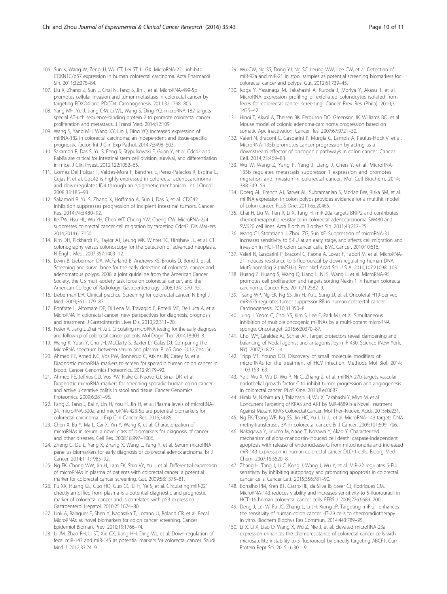- <span id="page-9-0"></span>106. Sun K, Wang W, Zeng JJ, Wu CT, Lei ST, Li GX. MicroRNA-221 inhibits CDKN1C/p57 expression in human colorectal carcinoma. Acta Pharmacol Sin. 2011;32:375–84.
- 107. Liu X, Zhang Z, Sun L, Chai N, Tang S, Jin J, et al. MicroRNA-499-5p promotes cellular invasion and tumor metastasis in colorectal cancer by targeting FOXO4 and PDCD4. Carcinogenesis. 2011;32:1798–805.
- 108. Yang MH, Yu J, Jiang DM, Li WL, Wang S, Ding YQ. microRNA-182 targets special AT-rich sequence-binding protein 2 to promote colorectal cancer proliferation and metastasis. J Transl Med. 2014;12:109.
- 109. Wang S, Yang MH, Wang XY, Lin J, Ding YQ. Increased expression of miRNA-182 in colorectal carcinoma: an independent and tissue-specific prognostic factor. Int J Clin Exp Pathol. 2014;7:3498–503.
- 110. Sakamori R, Das S, Yu S, Feng S, Stypulkowski E, Guan Y, et al. Cdc42 and Rab8a are critical for intestinal stem cell division, survival, and differentiation in mice. J Clin Invest. 2012;122:1052–65.
- 111. Gomez Del Pulgar T, Valdes-Mora F, Bandres E, Perez-Palacios R, Espina C, Cejas P, et al. Cdc42 is highly expressed in colorectal adenocarcinoma and downregulates ID4 through an epigenetic mechanism. Int J Oncol. 2008;33:185–93.
- 112. Sakamori R, Yu S, Zhang X, Hoffman A, Sun J, Das S, et al. CDC42 inhibition suppresses progression of incipient intestinal tumors. Cancer Res. 2014;74:5480–92.
- 113. Ke TW, Hsu HL, Wu YH, Chen WT, Cheng YW, Cheng CW. MicroRNA-224 suppresses colorectal cancer cell migration by targeting Cdc42. Dis Markers. 2014;2014:617150.
- 114. Kim DH, Pickhardt PJ, Taylor AJ, Leung WK, Winter TC, Hinshaw JL, et al. CT colonography versus colonoscopy for the detection of advanced neoplasia. N Engl J Med. 2007;357:1403–12.
- 115. Levin B, Lieberman DA, McFarland B, Andrews KS, Brooks D, Bond J, et al. Screening and surveillance for the early detection of colorectal cancer and adenomatous polyps, 2008: a joint guideline from the American Cancer Society, the US multi-society task force on colorectal cancer, and the American College of Radiology. Gastroenterology. 2008;134:1570–95.
- 116. Lieberman DA. Clinical practice. Screening for colorectal cancer. N Engl J Med. 2009;361:1179–87.
- 117. Bonfrate L, Altomare DF, Di Lena M, Travaglio E, Rotelli MT, De Luca A, et al. MicroRNA in colorectal cancer: new perspectives for diagnosis, prognosis and treatment. J Gastrointestin Liver Dis. 2013;22:311–20.
- 118. Fesler A, Jiang J, Zhai H, Ju J. Circulating microRNA testing for the early diagnosis and follow-up of colorectal cancer patients. Mol Diagn Ther. 2014;18:303–8.
- 119. Wang K, Yuan Y, Cho JH, McClarty S, Baxter D, Galas DJ. Comparing the MicroRNA spectrum between serum and plasma. PLoS One. 2012;7:e41561.
- 120. Ahmed FE, Amed NC, Vos PW, Bonnerup C, Atkins JN, Casey M, et al. Diagnostic microRNA markers to screen for sporadic human colon cancer in blood. Cancer Genomics Proteomics. 2012;9:179–92.
- 121. Ahmed FE, Jeffries CD, Vos PW, Flake G, Nuovo GJ, Sinar DR, et al. Diagnostic microRNA markers for screening sporadic human colon cancer and active ulcerative colitis in stool and tissue. Cancer Genomics Proteomics. 2009;6:281–95.
- 122. Fang Z, Tang J, Bai Y, Lin H, You H, Jin H, et al. Plasma levels of microRNA-24, microRNA-320a, and microRNA-423-5p are potential biomarkers for colorectal carcinoma. J Exp Clin Cancer Res. 2015;34:86.
- 123. Chen X, Ba Y, Ma L, Cai X, Yin Y, Wang K, et al. Characterization of microRNAs in serum: a novel class of biomarkers for diagnosis of cancer and other diseases. Cell Res. 2008;18:997–1006.
- 124. Zheng G, Du L, Yang X, Zhang X, Wang L, Yang Y, et al. Serum microRNA panel as biomarkers for early diagnosis of colorectal adenocarcinoma. Br J Cancer. 2014;111:1985–92.
- 125. Ng EK, Chong WW, Jin H, Lam EK, Shin VY, Yu J, et al. Differential expression of microRNAs in plasma of patients with colorectal cancer: a potential marker for colorectal cancer screening. Gut. 2009;58:1375–81.
- 126. Pu XX, Huang GL, Guo HQ, Guo CC, Li H, Ye S, et al. Circulating miR-221 directly amplified from plasma is a potential diagnostic and prognostic marker of colorectal cancer and is correlated with p53 expression. J Gastroenterol Hepatol. 2010;25:1674–80.
- 127. Link A, Balaguer F, Shen Y, Nagasaka T, Lozano JJ, Boland CR, et al. Fecal MicroRNAs as novel biomarkers for colon cancer screening. Cancer Epidemiol Biomark Prev. 2010;19:1766–74.
- 128. Li JM, Zhao RH, Li ST, Xie CX, Jiang HH, Ding WJ, et al. Down-regulation of fecal miR-143 and miR-145 as potential markers for colorectal cancer. Saudi Med J. 2012;33:24–9.
- 129. Wu CW, Ng SS, Dong YJ, Ng SC, Leung WW, Lee CW, et al. Detection of miR-92a and miR-21 in stool samples as potential screening biomarkers for colorectal cancer and polyps. Gut. 2012;61:739–45.
- 130. Koga Y, Yasunaga M, Takahashi A, Kuroda J, Moriya Y, Akasu T, et al. MicroRNA expression profiling of exfoliated colonocytes isolated from feces for colorectal cancer screening. Cancer Prev Res (Phila). 2010;3: 1435–42.
- 131. Hinoi T, Akyol A, Theisen BK, Ferguson DO, Greenson JK, Williams BO, et al. Mouse model of colonic adenoma-carcinoma progression based on somatic Apc inactivation. Cancer Res. 2007;67:9721–30.
- 132. Valeri N, Braconi C, Gasparini P, Murgia C, Lampis A, Paulus-Hock V, et al. MicroRNA-135b promotes cancer progression by acting as a downstream effector of oncogenic pathways in colon cancer. Cancer Cell. 2014;25:469–83.
- 133. Wu W, Wang Z, Yang P, Yang J, Liang J, Chen Y, et al. MicroRNA-135b regulates metastasis suppressor 1 expression and promotes migration and invasion in colorectal cancer. Mol Cell Biochem. 2014; 388:249–59.
- 134. Oberg AL, French AJ, Sarver AL, Subramanian S, Morlan BW, Riska SM, et al. miRNA expression in colon polyps provides evidence for a multihit model of colon cancer. PLoS One. 2011;6:e20465.
- 135. Chai H, Liu M, Tian R, Li X, Tang H. miR-20a targets BNIP2 and contributes chemotherapeutic resistance in colorectal adenocarcinoma SW480 and SW620 cell lines. Acta Biochim Biophys Sin. 2011;43:217–25.
- 136. Wang CJ, Stratmann J, Zhou ZG, Sun XF. Suppression of microRNA-31 increases sensitivity to 5-FU at an early stage, and affects cell migration and invasion in HCT-116 colon cancer cells. BMC Cancer. 2010;10:616.
- 137. Valeri N, Gasparini P, Braconi C, Paone A, Lovat F, Fabbri M, et al. MicroRNA-21 induces resistance to 5-fluorouracil by down-regulating human DNA MutS homolog 2 (hMSH2). Proc Natl Acad Sci U S A. 2010;107:21098–103.
- 138. Huang Z, Huang S, Wang Q, Liang L, Ni S, Wang L, et al. MicroRNA-95 promotes cell proliferation and targets sorting Nexin 1 in human colorectal carcinoma. Cancer Res. 2011;71:2582–9.
- 139. Tsang WP, Ng EK, Ng SS, Jin H, Yu J, Sung JJ, et al. Oncofetal H19-derived miR-675 regulates tumor suppressor RB in human colorectal cancer. Carcinogenesis. 2010;31:350–8.
- 140. Jung J, Yeom C, Choi YS, Kim S, Lee E, Park MJ, et al. Simultaneous inhibition of multiple oncogenic miRNAs by a multi-potent microRNA sponge. Oncotarget. 2015;6:20370–87.
- 141. Choi WY, Giraldez AJ, Schier AF. Target protectors reveal dampening and balancing of Nodal agonist and antagonist by miR-430. Science (New York, NY). 2007;318:271–4.
- 142. Tripp VT, Young DD. Discovery of small molecule modifiers of microRNAs for the treatment of HCV infection. Methods Mol Biol. 2014; 1103:153–63.
- 143. Ye J, Wu X, Wu D, Wu P, Ni C, Zhang Z, et al. miRNA-27b targets vascular endothelial growth factor C to inhibit tumor progression and angiogenesis in colorectal cancer. PLoS One. 2013;8:e60687.
- 144. Hiraki M, Nishimura J, Takahashi H, Wu X, Takahashi Y, Miyo M, et al. Concurrent Targeting of KRAS and AKT by MiR-4689 Is a Novel Treatment Against Mutant KRAS Colorectal Cancer. Mol Ther–Nucleic Acids. 2015;4:e231.
- 145. Ng EK, Tsang WP, Ng SS, Jin HC, Yu J, Li JJ, et al. MicroRNA-143 targets DNA methyltransferases 3A in colorectal cancer. Br J Cancer. 2009;101:699–706.
- 146. Nakagawa Y, Iinuma M, Naoe T, Nozawa Y, Akao Y. Characterized mechanism of alpha-mangostin-induced cell death: caspase-independent apoptosis with release of endonuclease-G from mitochondria and increased miR-143 expression in human colorectal cancer DLD-1 cells. Bioorg Med Chem. 2007;15:5620–8.
- 147. Zhang H, Tang J, Li C, Kong J, Wang J, Wu Y, et al. MiR-22 regulates 5-FU sensitivity by inhibiting autophagy and promoting apoptosis in colorectal cancer cells. Cancer Lett. 2015;356:781–90.
- 148. Borralho PM, Kren BT, Castro RE, da Silva IB, Steer CJ, Rodrigues CM. MicroRNA-143 reduces viability and increases sensitivity to 5-fluorouracil in HCT116 human colorectal cancer cells. FEBS J. 2009;276:6689–700.
- 149. Deng J, Lei W, Fu JC, Zhang L, Li JH, Xiong JP. Targeting miR-21 enhances the sensitivity of human colon cancer HT-29 cells to chemoradiotherapy in vitro. Biochem Biophys Res Commun. 2014;443:789–95.
- 150. Li X, Li X, Liao D, Wang X, Wu Z, Nie J, et al. Elevated microRNA-23a expression enhances the chemoresistance of colorectal cancer cells with microsatellite instability to 5-fluorouracil by directly targeting ABCF1. Curr Protein Pept Sci. 2015;16:301–9.